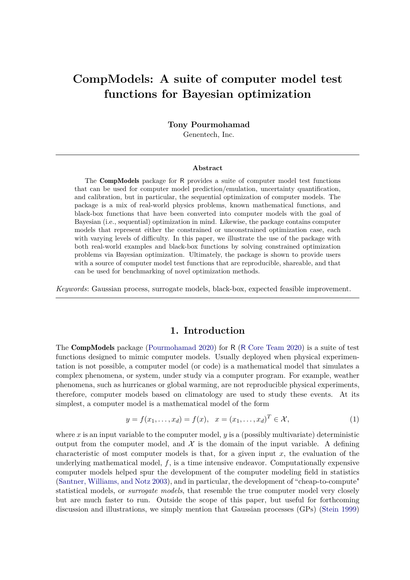# **CompModels: A suite of computer model test functions for Bayesian optimization**

**Tony Pourmohamad** Genentech, Inc.

#### **Abstract**

The CompModels package for R provides a suite of computer model test functions that can be used for computer model prediction/emulation, uncertainty quantification, and calibration, but in particular, the sequential optimization of computer models. The package is a mix of real-world physics problems, known mathematical functions, and black-box functions that have been converted into computer models with the goal of Bayesian (i.e., sequential) optimization in mind. Likewise, the package contains computer models that represent either the constrained or unconstrained optimization case, each with varying levels of difficulty. In this paper, we illustrate the use of the package with both real-world examples and black-box functions by solving constrained optimization problems via Bayesian optimization. Ultimately, the package is shown to provide users with a source of computer model test functions that are reproducible, shareable, and that can be used for benchmarking of novel optimization methods.

*Keywords*: Gaussian process, surrogate models, black-box, expected feasible improvement.

#### **1. Introduction**

<span id="page-0-0"></span>The CompModels package [\(Pourmohamad 2020\)](#page-12-0) for R (R [Core Team 2020\)](#page-12-1) is a suite of test functions designed to mimic computer models. Usually deployed when physical experimentation is not possible, a computer model (or code) is a mathematical model that simulates a complex phenomena, or system, under study via a computer program. For example, weather phenomena, such as hurricanes or global warming, are not reproducible physical experiments, therefore, computer models based on climatology are used to study these events. At its simplest, a computer model is a mathematical model of the form

$$
y = f(x_1, ..., x_d) = f(x), \quad x = (x_1, ..., x_d)^T \in \mathcal{X},
$$
\n(1)

where  $x$  is an input variable to the computer model,  $y$  is a (possibly multivariate) deterministic output from the computer model, and  $\mathcal X$  is the domain of the input variable. A defining characteristic of most computer models is that, for a given input *x*, the evaluation of the underlying mathematical model, *f*, is a time intensive endeavor. Computationally expensive computer models helped spur the development of the computer modeling field in statistics [\(Santner, Williams, and Notz 2003\)](#page-12-2), and in particular, the development of "cheap-to-compute" statistical models, or *surrogate models*, that resemble the true computer model very closely but are much faster to run. Outside the scope of this paper, but useful for forthcoming discussion and illustrations, we simply mention that Gaussian processes (GPs) [\(Stein 1999\)](#page-12-3)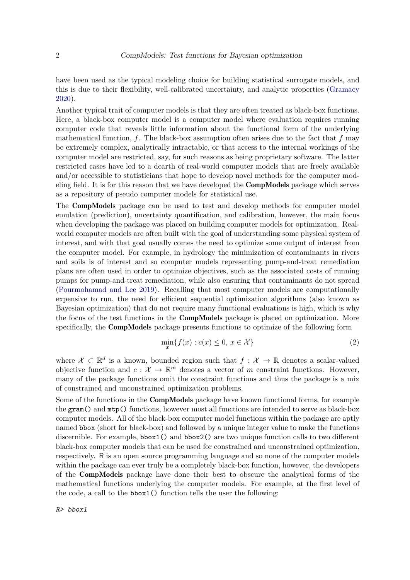have been used as the typical modeling choice for building statistical surrogate models, and this is due to their flexibility, well-calibrated uncertainty, and analytic properties [\(Gramacy](#page-11-0) [2020\)](#page-11-0).

Another typical trait of computer models is that they are often treated as black-box functions. Here, a black-box computer model is a computer model where evaluation requires running computer code that reveals little information about the functional form of the underlying mathematical function, *f*. The black-box assumption often arises due to the fact that *f* may be extremely complex, analytically intractable, or that access to the internal workings of the computer model are restricted, say, for such reasons as being proprietary software. The latter restricted cases have led to a dearth of real-world computer models that are freely available and/or accessible to statisticians that hope to develop novel methods for the computer modeling field. It is for this reason that we have developed the CompModels package which serves as a repository of pseudo computer models for statistical use.

The CompModels package can be used to test and develop methods for computer model emulation (prediction), uncertainty quantification, and calibration, however, the main focus when developing the package was placed on building computer models for optimization. Realworld computer models are often built with the goal of understanding some physical system of interest, and with that goal usually comes the need to optimize some output of interest from the computer model. For example, in hydrology the minimization of contaminants in rivers and soils is of interest and so computer models representing pump-and-treat remediation plans are often used in order to optimize objectives, such as the associated costs of running pumps for pump-and-treat remediation, while also ensuring that contaminants do not spread [\(Pourmohamad and Lee 2019\)](#page-12-4). Recalling that most computer models are computationally expensive to run, the need for efficient sequential optimization algorithms (also known as Bayesian optimization) that do not require many functional evaluations is high, which is why the focus of the test functions in the CompModels package is placed on optimization. More specifically, the CompModels package presents functions to optimize of the following form

$$
\min_{x} \{ f(x) : c(x) \le 0, \ x \in \mathcal{X} \}
$$
\n<sup>(2)</sup>

where  $\mathcal{X} \subset \mathbb{R}^d$  is a known, bounded region such that  $f: \mathcal{X} \to \mathbb{R}$  denotes a scalar-valued objective function and  $c: \mathcal{X} \to \mathbb{R}^m$  denotes a vector of *m* constraint functions. However, many of the package functions omit the constraint functions and thus the package is a mix of constrained and unconstrained optimization problems.

Some of the functions in the CompModels package have known functional forms, for example the gram() and mtp() functions, however most all functions are intended to serve as black-box computer models. All of the black-box computer model functions within the package are aptly named bbox (short for black-box) and followed by a unique integer value to make the functions discernible. For example, bbox1() and bbox2() are two unique function calls to two different black-box computer models that can be used for constrained and unconstrained optimization, respectively. R is an open source programming language and so none of the computer models within the package can ever truly be a completely black-box function, however, the developers of the CompModels package have done their best to obscure the analytical forms of the mathematical functions underlying the computer models. For example, at the first level of the code, a call to the bbox1() function tells the user the following:

*R> bbox1*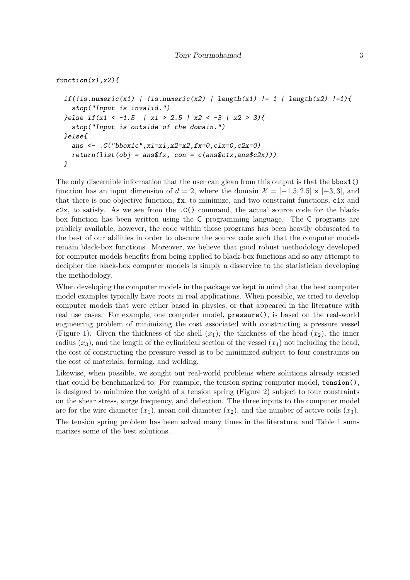*function(x1,x2){*

```
if(!is.numeric(x1) | !is.numeric(x2) | length(x1) != 1 | length(x2) !=1){
  stop("Input is invalid.")
}else if(x1 < -1.5 | x1 > 2.5 | x2 < -3 | x2 > 3){
  stop("Input is outside of the domain.")
}else{
 ans <- .C("bbox1c",x1=x1,x2=x2,fx=0,c1x=0,c2x=0)
 return(list(obj = ans$fx, con = c(ans$c1x, ans$c2x))}
```
The only discernible information that the user can glean from this output is that the bbox1() function has an input dimension of  $d = 2$ , where the domain  $\mathcal{X} = [-1.5, 2.5] \times [-3, 3]$ , and that there is one objective function, fx, to minimize, and two constraint functions, c1x and c2x, to satisfy. As we see from the .C() command, the actual source code for the blackbox function has been written using the C programming language. The C programs are publicly available, however, the code within those programs has been heavily obfuscated to the best of our abilities in order to obscure the source code such that the computer models remain black-box functions. Moreover, we believe that good robust methodology developed for computer models benefits from being applied to black-box functions and so any attempt to decipher the black-box computer models is simply a disservice to the statistician developing the methodology.

When developing the computer models in the package we kept in mind that the best computer model examples typically have roots in real applications. When possible, we tried to develop computer models that were either based in physics, or that appeared in the literature with real use cases. For example, one computer model, pressure(), is based on the real-world engineering problem of minimizing the cost associated with constructing a pressure vessel (Figure [1\)](#page-3-0). Given the thickness of the shell  $(x_1)$ , the thickness of the head  $(x_2)$ , the inner radius  $(x_3)$ , and the length of the cylindrical section of the vessel  $(x_4)$  not including the head, the cost of constructing the pressure vessel is to be minimized subject to four constraints on the cost of materials, forming, and welding.

Likewise, when possible, we sought out real-world problems where solutions already existed that could be benchmarked to. For example, the tension spring computer model, tension(), is designed to minimize the weight of a tension spring (Figure [2\)](#page-3-1) subject to four constraints on the shear stress, surge frequency, and deflection. The three inputs to the computer model are for the wire diameter  $(x_1)$ , mean coil diameter  $(x_2)$ , and the number of active coils  $(x_3)$ . The tension spring problem has been solved many times in the literature, and Table [1](#page-4-0) sum-

marizes some of the best solutions.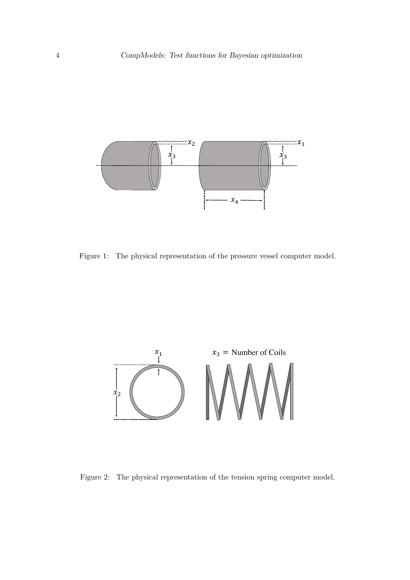

<span id="page-3-0"></span>Figure 1: The physical representation of the pressure vessel computer model.



<span id="page-3-1"></span>Figure 2: The physical representation of the tension spring computer model.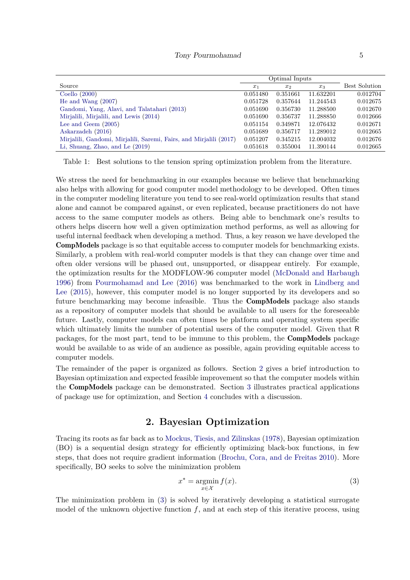|                                                                    | Optimal Inputs |          |           |               |
|--------------------------------------------------------------------|----------------|----------|-----------|---------------|
| Source                                                             | $x_1$          | $x_2$    | $x_3$     | Best Solution |
| Coello $(2000)$                                                    | 0.051480       | 0.351661 | 11.632201 | 0.012704      |
| He and Wang $(2007)$                                               | 0.051728       | 0.357644 | 11.244543 | 0.012675      |
| Gandomi, Yang, Alavi, and Talatahari (2013)                        | 0.051690       | 0.356730 | 11.288500 | 0.012670      |
| Mirjalili, Mirjalili, and Lewis (2014)                             | 0.051690       | 0.356737 | 11.288850 | 0.012666      |
| Lee and Geem $(2005)$                                              | 0.051154       | 0.349871 | 12.076432 | 0.012671      |
| Askarzadeh (2016)                                                  | 0.051689       | 0.356717 | 11.289012 | 0.012665      |
| Mirjalili, Gandomi, Mirjalili, Saremi, Fairs, and Mirjalili (2017) | 0.051207       | 0.345215 | 12.004032 | 0.012676      |
| Li, Shuang, Zhao, and Le (2019)                                    | 0.051618       | 0.355004 | 11.390144 | 0.012665      |

<span id="page-4-0"></span>Table 1: Best solutions to the tension spring optimization problem from the literature.

We stress the need for benchmarking in our examples because we believe that benchmarking also helps with allowing for good computer model methodology to be developed. Often times in the computer modeling literature you tend to see real-world optimization results that stand alone and cannot be compared against, or even replicated, because practitioners do not have access to the same computer models as others. Being able to benchmark one's results to others helps discern how well a given optimization method performs, as well as allowing for useful internal feedback when developing a method. Thus, a key reason we have developed the CompModels package is so that equitable access to computer models for benchmarking exists. Similarly, a problem with real-world computer models is that they can change over time and often older versions will be phased out, unsupported, or disappear entirely. For example, the optimization results for the MODFLOW-96 computer model [\(McDonald and Harbaugh](#page-12-8) [1996\)](#page-12-8) from [Pourmohamad and Lee](#page-12-9) [\(2016\)](#page-12-9) was benchmarked to the work in [Lindberg and](#page-12-10) [Lee](#page-12-10) [\(2015\)](#page-12-10), however, this computer model is no longer supported by its developers and so future benchmarking may become infeasible. Thus the CompModels package also stands as a repository of computer models that should be available to all users for the foreseeable future. Lastly, computer models can often times be platform and operating system specific which ultimately limits the number of potential users of the computer model. Given that R packages, for the most part, tend to be immune to this problem, the CompModels package would be available to as wide of an audience as possible, again providing equitable access to computer models.

The remainder of the paper is organized as follows. Section [2](#page-4-1) gives a brief introduction to Bayesian optimization and expected feasible improvement so that the computer models within the CompModels package can be demonstrated. Section [3](#page-6-0) illustrates practical applications of package use for optimization, and Section [4](#page-9-0) concludes with a discussion.

# **2. Bayesian Optimization**

<span id="page-4-1"></span>Tracing its roots as far back as to [Mockus, Tiesis, and Zilinskas](#page-12-11) [\(1978\)](#page-12-11), Bayesian optimization (BO) is a sequential design strategy for efficiently optimizing black-box functions, in few steps, that does not require gradient information [\(Brochu, Cora, and de Freitas 2010\)](#page-11-6). More specifically, BO seeks to solve the minimization problem

<span id="page-4-2"></span>
$$
x^* = \underset{x \in \mathcal{X}}{\operatorname{argmin}} f(x). \tag{3}
$$

The minimization problem in [\(3\)](#page-4-2) is solved by iteratively developing a statistical surrogate model of the unknown objective function *f*, and at each step of this iterative process, using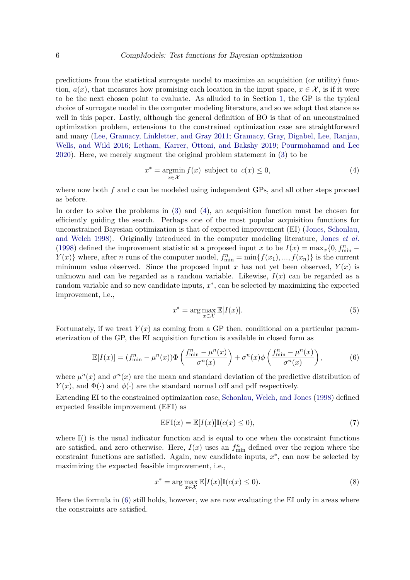predictions from the statistical surrogate model to maximize an acquisition (or utility) function,  $a(x)$ , that measures how promising each location in the input space,  $x \in \mathcal{X}$ , is if it were to be the next chosen point to evaluate. As alluded to in Section [1,](#page-0-0) the GP is the typical choice of surrogate model in the computer modeling literature, and so we adopt that stance as well in this paper. Lastly, although the general definition of BO is that of an unconstrained optimization problem, extensions to the constrained optimization case are straightforward and many [\(Lee, Gramacy, Linkletter, and Gray 2011;](#page-11-7) [Gramacy, Gray, Digabel, Lee, Ranjan,](#page-11-8) [Wells, and Wild 2016;](#page-11-8) [Letham, Karrer, Ottoni, and Bakshy 2019;](#page-12-12) [Pourmohamad and Lee](#page-12-13) [2020\)](#page-12-13). Here, we merely augment the original problem statement in [\(3\)](#page-4-2) to be

<span id="page-5-0"></span>
$$
x^* = \operatorname*{argmin}_{x \in \mathcal{X}} f(x) \text{ subject to } c(x) \le 0,
$$
\n<sup>(4)</sup>

where now both *f* and *c* can be modeled using independent GPs, and all other steps proceed as before.

In order to solve the problems in [\(3\)](#page-4-2) and [\(4\)](#page-5-0), an acquisition function must be chosen for efficiently guiding the search. Perhaps one of the most popular acquisition functions for unconstrained Bayesian optimization is that of expected improvement (EI) [\(Jones, Schonlau,](#page-11-9) [and Welch 1998\)](#page-11-9). Originally introduced in the computer modeling literature, [Jones](#page-11-9) *et al.* [\(1998\)](#page-11-9) defined the improvement statistic at a proposed input *x* to be  $I(x) = \max_x \{0, f_{\min}^n Y(x)$  where, after *n* runs of the computer model,  $f_{\min}^n = \min\{f(x_1),...,f(x_n)\}$  is the current minimum value observed. Since the proposed input  $x$  has not yet been observed,  $Y(x)$  is unknown and can be regarded as a random variable. Likewise, *I*(*x*) can be regarded as a random variable and so new candidate inputs, *x* ∗ , can be selected by maximizing the expected improvement, i.e.,

<span id="page-5-1"></span>
$$
x^* = \arg\max_{x \in \mathcal{X}} \mathbb{E}[I(x)].
$$
\n(5)

Fortunately, if we treat  $Y(x)$  as coming from a GP then, conditional on a particular parameterization of the GP, the EI acquisition function is available in closed form as

$$
\mathbb{E}[I(x)] = (f_{\min}^n - \mu^n(x))\Phi\left(\frac{f_{\min}^n - \mu^n(x)}{\sigma^n(x)}\right) + \sigma^n(x)\phi\left(\frac{f_{\min}^n - \mu^n(x)}{\sigma^n(x)}\right),\tag{6}
$$

where  $\mu^{n}(x)$  and  $\sigma^{n}(x)$  are the mean and standard deviation of the predictive distribution of *Y*(*x*), and  $\Phi(\cdot)$  and  $\phi(\cdot)$  are the standard normal cdf and pdf respectively.

Extending EI to the constrained optimization case, [Schonlau, Welch, and Jones](#page-12-14) [\(1998\)](#page-12-14) defined expected feasible improvement (EFI) as

$$
EFI(x) = \mathbb{E}[I(x)]\mathbb{I}(c(x) \le 0),\tag{7}
$$

where  $\mathbb{I}$ () is the usual indicator function and is equal to one when the constraint functions are satisfied, and zero otherwise. Here,  $I(x)$  uses an  $f_{\min}^n$  defined over the region where the constraint functions are satisfied. Again, new candidate inputs,  $x^*$ , can now be selected by maximizing the expected feasible improvement, i.e.,

$$
x^* = \arg\max_{x \in \mathcal{X}} \mathbb{E}[I(x)]\mathbb{I}(c(x) \le 0). \tag{8}
$$

Here the formula in [\(6\)](#page-5-1) still holds, however, we are now evaluating the EI only in areas where the constraints are satisfied.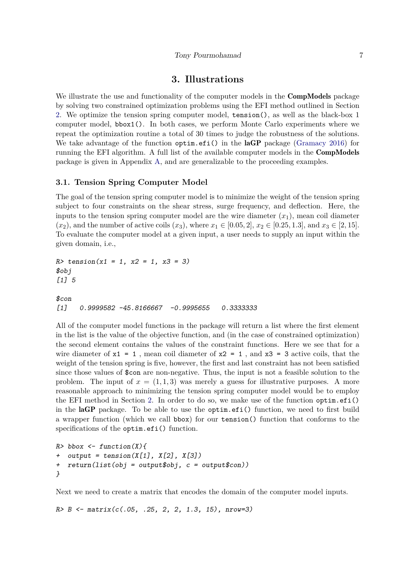#### **3. Illustrations**

<span id="page-6-0"></span>We illustrate the use and functionality of the computer models in the **CompModels** package by solving two constrained optimization problems using the EFI method outlined in Section [2.](#page-4-1) We optimize the tension spring computer model, tension(), as well as the black-box 1 computer model, bbox1(). In both cases, we perform Monte Carlo experiments where we repeat the optimization routine a total of 30 times to judge the robustness of the solutions. We take advantage of the function optim.efi() in the laGP package [\(Gramacy 2016\)](#page-11-10) for running the EFI algorithm. A full list of the available computer models in the CompModels package is given in Appendix [A,](#page-13-0) and are generalizable to the proceeding examples.

#### **3.1. Tension Spring Computer Model**

The goal of the tension spring computer model is to minimize the weight of the tension spring subject to four constraints on the shear stress, surge frequency, and deflection. Here, the inputs to the tension spring computer model are the wire diameter  $(x_1)$ , mean coil diameter  $(x_2)$ , and the number of active coils  $(x_3)$ , where  $x_1 \in [0.05, 2]$ ,  $x_2 \in [0.25, 1.3]$ , and  $x_3 \in [2, 15]$ . To evaluate the computer model at a given input, a user needs to supply an input within the given domain, i.e.,

*R> tension(x1 = 1, x2 = 1, x3 = 3) \$obj [1] 5*

#### *\$con [1] 0.9999582 -45.8166667 -0.9995655 0.3333333*

All of the computer model functions in the package will return a list where the first element in the list is the value of the objective function, and (in the case of constrained optimization) the second element contains the values of the constraint functions. Here we see that for a wire diameter of  $x1 = 1$ , mean coil diameter of  $x2 = 1$ , and  $x3 = 3$  active coils, that the weight of the tension spring is five, however, the first and last constraint has not been satisfied since those values of \$con are non-negative. Thus, the input is not a feasible solution to the problem. The input of  $x = (1, 1, 3)$  was merely a guess for illustrative purposes. A more reasonable approach to minimizing the tension spring computer model would be to employ the EFI method in Section [2.](#page-4-1) In order to do so, we make use of the function optim.efi() in the laGP package. To be able to use the optim.efi() function, we need to first build a wrapper function (which we call bbox) for our tension() function that conforms to the specifications of the optim.efi() function.

```
R> bbox <- function(X){
+ output = tension(X[1], X[2], X[3])
+ return(list(obj = output$obj, c = output$con))
}
```
Next we need to create a matrix that encodes the domain of the computer model inputs.

*R> B <- matrix(c(.05, .25, 2, 2, 1.3, 15), nrow=3)*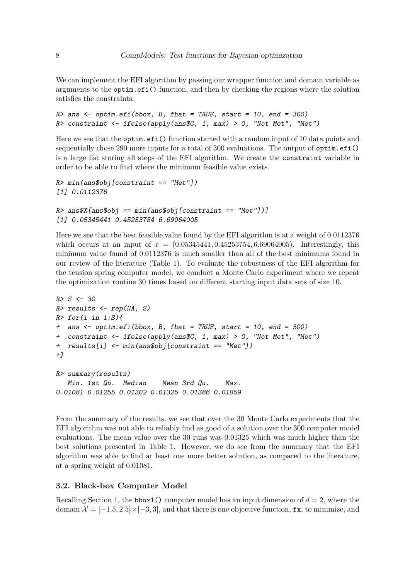We can implement the EFI algorithm by passing our wrapper function and domain variable as arguments to the optim.efi() function, and then by checking the regions where the solution satisfies the constraints.

```
R> ans <- optim.efi(bbox, B, fhat = TRUE, start = 10, end = 300)
R> constraint <- ifelse(apply(ans$C, 1, max) > 0, "Not Met", "Met")
```
Here we see that the optim.efi() function started with a random input of 10 data points and sequentially chose 290 more inputs for a total of 300 evaluations. The output of optim.efi() is a large list storing all steps of the EFI algorithm. We create the constraint variable in order to be able to find where the minimum feasible value exists.

```
R> min(ans$obj[constraint == "Met"])
[1] 0.0112376
```

```
R> ans$X[ans$obj == min(ans$obj[constraint == "Met"])]
[1] 0.05345441 0.45253754 6.69064005
```
Here we see that the best feasible value found by the EFI algorithm is at a weight of 0.0112376 which occurs at an input of  $x = (0.05345441, 0.45253754, 6.69064005)$ . Interestingly, this minimum value found of 0.0112376 is much smaller than all of the best minimums found in our review of the literature (Table [1\)](#page-4-0). To evaluate the robustness of the EFI algorithm for the tension spring computer model, we conduct a Monte Carlo experiment where we repeat the optimization routine 30 times based on different starting input data sets of size 10.

```
R> S <- 30
R> results <- rep(NA, S)
R> for(i in 1:S){
+ ans <- optim.efi(bbox, B, fhat = TRUE, start = 10, end = 300)
+ constraint <- ifelse(apply(ans$C, 1, max) > 0, "Not Met", "Met")
+ results[i] <- min(ans$obj[constraint == "Met"])
+}
R> summary(results)
  Min. 1st Qu. Median Mean 3rd Qu. Max.
```
From the summary of the results, we see that over the 30 Monte Carlo experiments that the EFI algorithm was not able to reliably find as good of a solution over the 300 computer model evaluations. The mean value over the 30 runs was 0.01325 which was much higher than the best solutions presented in Table [1.](#page-4-0) However, we do see from the summary that the EFI algorithm was able to find at least one more better solution, as compared to the literature, at a spring weight of 0.01081.

#### **3.2. Black-box Computer Model**

*0.01081 0.01255 0.01302 0.01325 0.01386 0.01859*

Recalling Section [1,](#page-0-0) the bbox1() computer model has an input dimension of  $d = 2$ , where the domain  $\mathcal{X} = [-1.5, 2.5] \times [-3, 3]$ , and that there is one objective function, fx, to minimize, and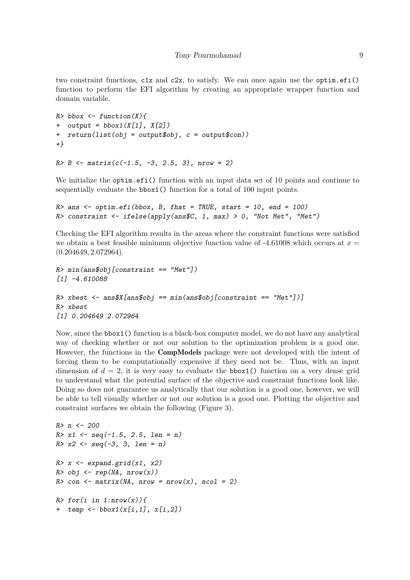two constraint functions,  $c1x$  and  $c2x$ , to satisfy. We can once again use the optim.efi() function to perform the EFI algorithm by creating an appropriate wrapper function and domain variable.

```
R> bbox <- function(X){
+ output = bbox1(X[1], X[2])
+ return(list(obj = output$obj, c = output$con))
+}
```

```
R> B <- matrix(c(-1.5, -3, 2.5, 3), nrow = 2)
```
We initialize the optim.efi() function with an input data set of 10 points and continue to sequentially evaluate the bbox1() function for a total of 100 input points.

```
R> ans <- optim.efi(bbox, B, fhat = TRUE, start = 10, end = 100)
R> constraint <- ifelse(apply(ans$C, 1, max) > 0, "Not Met", "Met")
```
Checking the EFI algorithm results in the areas where the constraint functions were satisfied we obtain a best feasible minimum objective function value of  $-4.61008$  which occurs at  $x =$ (0*.*204649*,* 2*.*072964).

```
R> min(ans$obj[constraint == "Met"])
[1] -4.610088
R> xbest <- ans$X[ans$obj == min(ans$obj[constraint == "Met"])]
R> xbest
[1] 0.204649 2.072964
```
Now, since the bbox1() function is a black-box computer model, we do not have any analytical way of checking whether or not our solution to the optimization problem is a good one. However, the functions in the CompModels package were not developed with the intent of forcing them to be computationally expensive if they need not be. Thus, with an input dimension of  $d = 2$ , it is very easy to evaluate the **bbox1()** function on a very dense grid to understand what the potential surface of the objective and constraint functions look like. Doing so does not guarantee us analytically that our solution is a good one, however, we will be able to tell visually whether or not our solution is a good one. Plotting the objective and constraint surfaces we obtain the following (Figure [3\)](#page-10-0).

```
R> n <- 200
R> x1 <- seq(-1.5, 2.5, len = n)
R> x2 <- seq(-3, 3, len = n)
R> x <- expand.grid(x1, x2)
R> obj <- rep(NA, nrow(x))
R> con <- matrix(NA, nrow = nrow(x), ncol = 2)
R> for(i in 1:nrow(x)){
+ temp <- bbox1(x[i,1], x[i,2])
```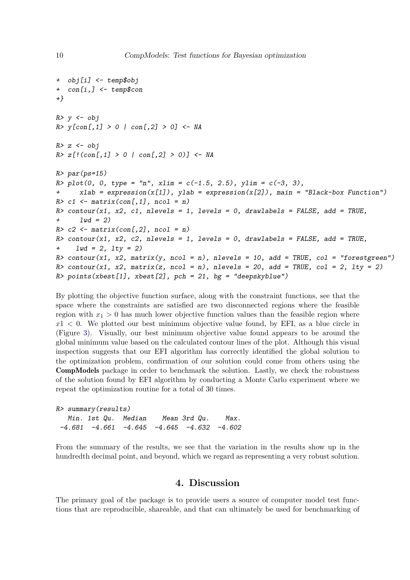```
+ obj[i] <- temp$obj
+ con[i,] <- temp$con
+}
R> y <- obj
R> y[con[,1] > 0 | con[,2] > 0] <- NA
R> z <- obj
R> z[!(con[,1] > 0 | con[,2] > 0)] <- NA
R> par(ps=15)
R> plot(0, 0, type = "n", xlim = c(-1.5, 2.5), ylim = c(-3, 3),
      xlab = expression(x[1]), ylab = expression(x[2]), main = "Black-box Function")
R> c1 <- matrix(con[,1], ncol = n)
R> contour(x1, x2, c1, nlevels = 1, levels = 0, drawlabels = FALSE, add = TRUE,
+ lwd = 2)
R> c2 <- matrix(con[,2], ncol = n)
R> contour(x1, x2, c2, nlevels = 1, levels = 0, drawlabels = FALSE, add = TRUE,
+ lwd = 2, lty = 2)
R> contour(x1, x2, matrix(y, ncol = n), nlevels = 10, add = TRUE, col = "forestgreen")
R contour(x1, x2, matrix(z, ncol = n), nlevels = 20, add = TRUE, col = 2, lty = 2)
R> points(xbest[1], xbest[2], pch = 21, bg = "deepskyblue")
```
By plotting the objective function surface, along with the constraint functions, see that the space where the constraints are satisfied are two disconnected regions where the feasible region with  $x_1 > 0$  has much lower objective function values than the feasible region where  $x1 < 0$ . We plotted our best minimum objective value found, by EFI, as a blue circle in (Figure [3\)](#page-10-0). Visually, our best minimum objective value found appears to be around the global minimum value based on the calculated contour lines of the plot. Although this visual inspection suggests that our EFI algorithm has correctly identified the global solution to the optimization problem, confirmation of our solution could come from others using the CompModels package in order to benchmark the solution. Lastly, we check the robustness of the solution found by EFI algorithm by conducting a Monte Carlo experiment where we repeat the optimization routine for a total of 30 times.

```
R> summary(results)
  Min. 1st Qu. Median Mean 3rd Qu. Max.
 -4.681 -4.661 -4.645 -4.645 -4.632 -4.602
```
From the summary of the results, we see that the variation in the results show up in the hundredth decimal point, and beyond, which we regard as representing a very robust solution.

# **4. Discussion**

<span id="page-9-0"></span>The primary goal of the package is to provide users a source of computer model test functions that are reproducible, shareable, and that can ultimately be used for benchmarking of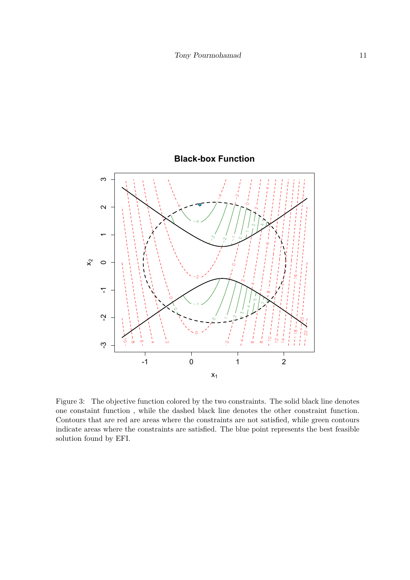

**Black-box Function**

<span id="page-10-0"></span>Figure 3: The objective function colored by the two constraints. The solid black line denotes one constaint function , while the dashed black line denotes the other constraint function. Contours that are red are areas where the constraints are not satisfied, while green contours indicate areas where the constraints are satisfied. The blue point represents the best feasible solution found by EFI.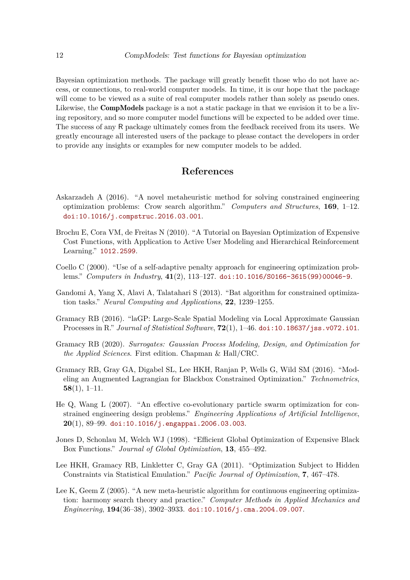Bayesian optimization methods. The package will greatly benefit those who do not have access, or connections, to real-world computer models. In time, it is our hope that the package will come to be viewed as a suite of real computer models rather than solely as pseudo ones. Likewise, the **CompModels** package is a not a static package in that we envision it to be a living repository, and so more computer model functions will be expected to be added over time. The success of any R package ultimately comes from the feedback received from its users. We greatly encourage all interested users of the package to please contact the developers in order to provide any insights or examples for new computer models to be added.

# **References**

- <span id="page-11-5"></span>Askarzadeh A (2016). "A novel metaheuristic method for solving constrained engineering optimization problems: Crow search algorithm." *Computers and Structures*, **169**, 1–12. [doi:10.1016/j.compstruc.2016.03.001](http://dx.doi.org/10.1016/j.compstruc.2016.03.001).
- <span id="page-11-6"></span>Brochu E, Cora VM, de Freitas N (2010). "A Tutorial on Bayesian Optimization of Expensive Cost Functions, with Application to Active User Modeling and Hierarchical Reinforcement Learning." <1012.2599>.
- <span id="page-11-1"></span>Coello C (2000). "Use of a self-adaptive penalty approach for engineering optimization problems." *Computers in Industry*, **41**(2), 113–127. [doi:10.1016/S0166-3615\(99\)00046-9](http://dx.doi.org/10.1016/S0166-3615(99)00046-9).
- <span id="page-11-3"></span>Gandomi A, Yang X, Alavi A, Talatahari S (2013). "Bat algorithm for constrained optimization tasks." *Neural Computing and Applications*, **22**, 1239–1255.
- <span id="page-11-10"></span>Gramacy RB (2016). "laGP: Large-Scale Spatial Modeling via Local Approximate Gaussian Processes in R." *Journal of Statistical Software*, **72**(1), 1–46. [doi:10.18637/jss.v072.i01](http://dx.doi.org/10.18637/jss.v072.i01).
- <span id="page-11-0"></span>Gramacy RB (2020). *Surrogates: Gaussian Process Modeling, Design, and Optimization for the Applied Sciences*. First edition. Chapman & Hall/CRC.
- <span id="page-11-8"></span>Gramacy RB, Gray GA, Digabel SL, Lee HKH, Ranjan P, Wells G, Wild SM (2016). "Modeling an Augmented Lagrangian for Blackbox Constrained Optimization." *Technometrics*, **58**(1), 1–11.
- <span id="page-11-2"></span>He Q, Wang L (2007). "An effective co-evolutionary particle swarm optimization for constrained engineering design problems." *Engineering Applications of Artificial Intelligence*, **20**(1), 89–99. [doi:10.1016/j.engappai.2006.03.003](http://dx.doi.org/10.1016/j.engappai.2006.03.003).
- <span id="page-11-9"></span>Jones D, Schonlau M, Welch WJ (1998). "Efficient Global Optimization of Expensive Black Box Functions." *Journal of Global Optimization*, **13**, 455–492.
- <span id="page-11-7"></span>Lee HKH, Gramacy RB, Linkletter C, Gray GA (2011). "Optimization Subject to Hidden Constraints via Statistical Emulation." *Pacific Journal of Optimization*, **7**, 467–478.
- <span id="page-11-4"></span>Lee K, Geem Z (2005). "A new meta-heuristic algorithm for continuous engineering optimization: harmony search theory and practice." *Computer Methods in Applied Mechanics and Engineering*, **194**(36–38), 3902–3933. [doi:10.1016/j.cma.2004.09.007](http://dx.doi.org/10.1016/j.cma.2004.09.007).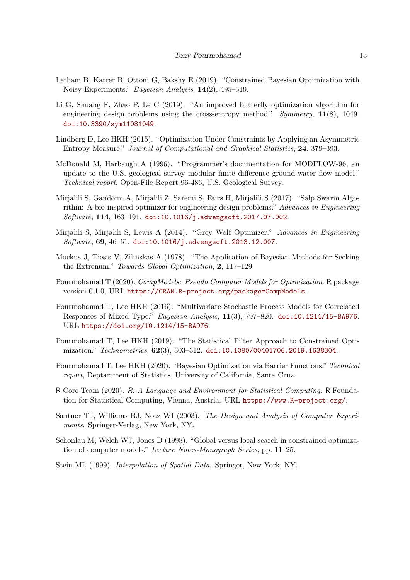- <span id="page-12-12"></span>Letham B, Karrer B, Ottoni G, Bakshy E (2019). "Constrained Bayesian Optimization with Noisy Experiments." *Bayesian Analysis*, **14**(2), 495–519.
- <span id="page-12-7"></span>Li G, Shuang F, Zhao P, Le C (2019). "An improved butterfly optimization algorithm for engineering design problems using the cross-entropy method." *Symmetry*, **11**(8), 1049. [doi:10.3390/sym11081049](http://dx.doi.org/10.3390/sym11081049).
- <span id="page-12-10"></span>Lindberg D, Lee HKH (2015). "Optimization Under Constraints by Applying an Asymmetric Entropy Measure." *Journal of Computational and Graphical Statistics*, **24**, 379–393.
- <span id="page-12-8"></span>McDonald M, Harbaugh A (1996). "Programmer's documentation for MODFLOW-96, an update to the U.S. geological survey modular finite difference ground-water flow model." *Technical report*, Open-File Report 96-486, U.S. Geological Survey.
- <span id="page-12-6"></span>Mirjalili S, Gandomi A, Mirjalili Z, Saremi S, Fairs H, Mirjalili S (2017). "Salp Swarm Algorithm: A bio-inspired optimizer for engineering design problems." *Advances in Engineering Software*, **114**, 163–191. [doi:10.1016/j.advengsoft.2017.07.002](http://dx.doi.org/10.1016/j.advengsoft.2017.07.002).
- <span id="page-12-5"></span>Mirjalili S, Mirjalili S, Lewis A (2014). "Grey Wolf Optimizer." *Advances in Engineering Software*, **69**, 46–61. [doi:10.1016/j.advengsoft.2013.12.007](http://dx.doi.org/10.1016/j.advengsoft.2013.12.007).
- <span id="page-12-11"></span>Mockus J, Tiesis V, Zilinskas A (1978). "The Application of Bayesian Methods for Seeking the Extrenum." *Towards Global Optimization*, **2**, 117–129.
- <span id="page-12-0"></span>Pourmohamad T (2020). *CompModels: Pseudo Computer Models for Optimization*. R package version 0.1.0, URL <https://CRAN.R-project.org/package=CompModels>.
- <span id="page-12-9"></span>Pourmohamad T, Lee HKH (2016). "Multivariate Stochastic Process Models for Correlated Responses of Mixed Type." *Bayesian Analysis*, **11**(3), 797–820. [doi:10.1214/15-BA976](http://dx.doi.org/10.1214/15-BA976). URL <https://doi.org/10.1214/15-BA976>.
- <span id="page-12-4"></span>Pourmohamad T, Lee HKH (2019). "The Statistical Filter Approach to Constrained Optimization." *Technometrics*, **62**(3), 303–312. [doi:10.1080/00401706.2019.1638304](http://dx.doi.org/10.1080/00401706.2019.1638304).
- <span id="page-12-13"></span>Pourmohamad T, Lee HKH (2020). "Bayesian Optimization via Barrier Functions." *Technical report*, Deptartment of Statistics, University of California, Santa Cruz.
- <span id="page-12-1"></span>R Core Team (2020). R*: A Language and Environment for Statistical Computing*. R Foundation for Statistical Computing, Vienna, Austria. URL <https://www.R-project.org/>.
- <span id="page-12-2"></span>Santner TJ, Williams BJ, Notz WI (2003). *The Design and Analysis of Computer Experiments*. Springer-Verlag, New York, NY.
- <span id="page-12-14"></span>Schonlau M, Welch WJ, Jones D (1998). "Global versus local search in constrained optimization of computer models." *Lecture Notes-Monograph Series*, pp. 11–25.
- <span id="page-12-3"></span>Stein ML (1999). *Interpolation of Spatial Data*. Springer, New York, NY.